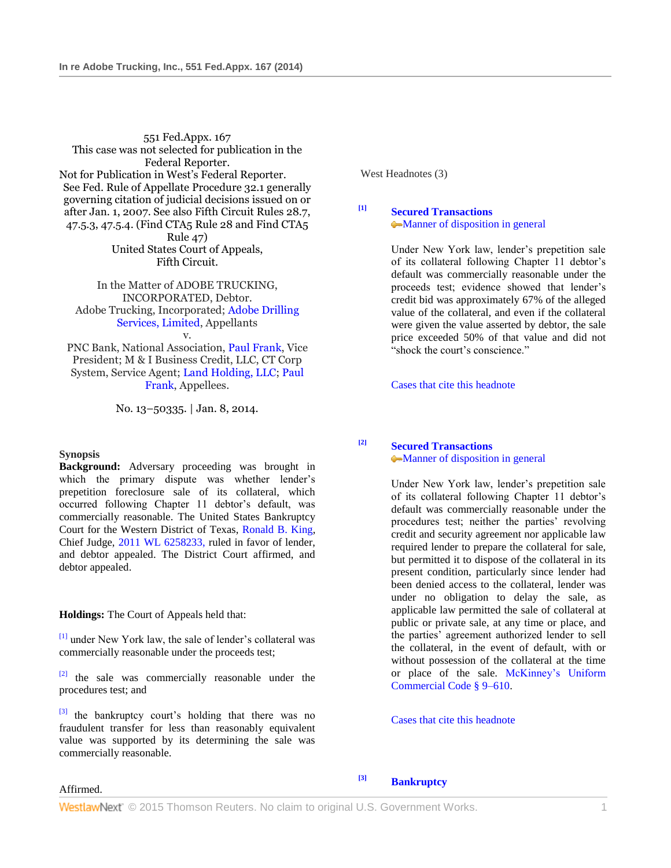551 Fed.Appx. 167 This case was not selected for publication in the Federal Reporter. Not for Publication in West's Federal Reporter. See Fed. Rule of Appellate Procedure 32.1 generally governing citation of judicial decisions issued on or after Jan. 1, 2007. See also Fifth Circuit Rules 28.7, 47.5.3, 47.5.4. (Find CTA5 Rule 28 and Find CTA5 Rule 47) United States Court of Appeals, Fifth Circuit.

In the Matter of ADOBE TRUCKING, INCORPORATED, Debtor. Adobe Trucking, Incorporated; [Adobe Drilling](http://www.westlaw.com/Search/Results.html?query=advanced%3a+OAID(5002898970)&saveJuris=False&contentType=BUSINESS-INVESTIGATOR&startIndex=1&contextData=(sc.Default)&categoryPageUrl=Home%2fCompanyInvestigator&originationContext=document&vr=3.0&rs=cblt1.0&transitionType=DocumentItem)  [Services, Limited,](http://www.westlaw.com/Search/Results.html?query=advanced%3a+OAID(5002898970)&saveJuris=False&contentType=BUSINESS-INVESTIGATOR&startIndex=1&contextData=(sc.Default)&categoryPageUrl=Home%2fCompanyInvestigator&originationContext=document&vr=3.0&rs=cblt1.0&transitionType=DocumentItem) Appellants v.

PNC Bank, National Association, [Paul Frank,](http://www.westlaw.com/Search/Results.html?query=advanced%3a+OAID(5030151454)&saveJuris=False&contentType=BUSINESS-INVESTIGATOR&startIndex=1&contextData=(sc.Default)&categoryPageUrl=Home%2fCompanyInvestigator&originationContext=document&vr=3.0&rs=cblt1.0&transitionType=DocumentItem) Vice President; M & I Business Credit, LLC, CT Corp System, Service Agent; [Land Holding, LLC;](http://www.westlaw.com/Search/Results.html?query=advanced%3a+OAID(5041156386)&saveJuris=False&contentType=BUSINESS-INVESTIGATOR&startIndex=1&contextData=(sc.Default)&categoryPageUrl=Home%2fCompanyInvestigator&originationContext=document&vr=3.0&rs=cblt1.0&transitionType=DocumentItem) [Paul](http://www.westlaw.com/Search/Results.html?query=advanced%3a+OAID(5030151454)&saveJuris=False&contentType=BUSINESS-INVESTIGATOR&startIndex=1&contextData=(sc.Default)&categoryPageUrl=Home%2fCompanyInvestigator&originationContext=document&vr=3.0&rs=cblt1.0&transitionType=DocumentItem)  [Frank,](http://www.westlaw.com/Search/Results.html?query=advanced%3a+OAID(5030151454)&saveJuris=False&contentType=BUSINESS-INVESTIGATOR&startIndex=1&contextData=(sc.Default)&categoryPageUrl=Home%2fCompanyInvestigator&originationContext=document&vr=3.0&rs=cblt1.0&transitionType=DocumentItem) Appellees.

No. 13–50335. | Jan. 8, 2014.

### **Synopsis**

**Background:** Adversary proceeding was brought in which the primary dispute was whether lender's prepetition foreclosure sale of its collateral, which occurred following Chapter 11 debtor's default, was commercially reasonable. The United States Bankruptcy Court for the Western District of Texas, [Ronald B. King,](http://www.westlaw.com/Link/Document/FullText?findType=h&pubNum=176284&cite=0107146702&originatingDoc=Ie73929f9788a11e38914df21cb42a557&refType=RQ&originationContext=document&vr=3.0&rs=cblt1.0&transitionType=DocumentItem&contextData=(sc.UserEnteredCitation)) Chief Judge, [2011 WL 6258233,](http://www.westlaw.com/Link/Document/FullText?findType=Y&serNum=2026688211&pubNum=999&originatingDoc=Ie73929f9788a11e38914df21cb42a557&refType=RP&originationContext=document&vr=3.0&rs=cblt1.0&transitionType=DocumentItem&contextData=(sc.UserEnteredCitation)) ruled in favor of lender, and debtor appealed. The District Court affirmed, and debtor appealed.

**Holdings:** The Court of Appeals held that:

[\[1\]](#page-0-0) under New York law, the sale of lender's collateral was commercially reasonable under the proceeds test;

 $[2]$  the sale was commercially reasonable under the procedures test; and

 $[3]$  the bankruptcy court's holding that there was no fraudulent transfer for less than reasonably equivalent value was supported by its determining the sale was commercially reasonable.

West Headnotes (3)

<span id="page-0-0"></span>**[\[1\]](#page-3-0) [Secured Transactions](http://www.westlaw.com/Browse/Home/KeyNumber/349A/View.html?docGuid=Ie73929f9788a11e38914df21cb42a557&originationContext=document&vr=3.0&rs=cblt1.0&transitionType=DocumentItem&contextData=(sc.UserEnteredCitation))** [Manner of disposition in general](http://www.westlaw.com/Browse/Home/KeyNumber/349Ak231/View.html?docGuid=Ie73929f9788a11e38914df21cb42a557&originationContext=document&vr=3.0&rs=cblt1.0&transitionType=DocumentItem&contextData=(sc.UserEnteredCitation))

> Under New York law, lender's prepetition sale of its collateral following Chapter 11 debtor's default was commercially reasonable under the proceeds test; evidence showed that lender's credit bid was approximately 67% of the alleged value of the collateral, and even if the collateral were given the value asserted by debtor, the sale price exceeded 50% of that value and did not "shock the court's conscience."

Cases [that cite this headnote](http://www.westlaw.com/Link/RelatedInformation/DocHeadnoteLink?docGuid=Ie73929f9788a11e38914df21cb42a557&headnoteId=203249418400120140625200631&originationContext=document&vr=3.0&rs=cblt1.0&transitionType=CitingReferences&contextData=(sc.UserEnteredCitation))

# <span id="page-0-1"></span>**[\[2\]](#page-3-1) [Secured Transactions](http://www.westlaw.com/Browse/Home/KeyNumber/349A/View.html?docGuid=Ie73929f9788a11e38914df21cb42a557&originationContext=document&vr=3.0&rs=cblt1.0&transitionType=DocumentItem&contextData=(sc.UserEnteredCitation))** [Manner of disposition in general](http://www.westlaw.com/Browse/Home/KeyNumber/349Ak231/View.html?docGuid=Ie73929f9788a11e38914df21cb42a557&originationContext=document&vr=3.0&rs=cblt1.0&transitionType=DocumentItem&contextData=(sc.UserEnteredCitation))

Under New York law, lender's prepetition sale of its collateral following Chapter 11 debtor's default was commercially reasonable under the procedures test; neither the parties' revolving credit and security agreement nor applicable law required lender to prepare the collateral for sale, but permitted it to dispose of the collateral in its present condition, particularly since lender had been denied access to the collateral, lender was under no obligation to delay the sale, as applicable law permitted the sale of collateral at public or private sale, at any time or place, and the parties' agreement authorized lender to sell the collateral, in the event of default, with or without possession of the collateral at the time or place of the sale. [McKinney's Uniform](http://www.westlaw.com/Link/Document/FullText?findType=L&pubNum=1000154&cite=NYUCS9-610&originatingDoc=Ie73929f9788a11e38914df21cb42a557&refType=LQ&originationContext=document&vr=3.0&rs=cblt1.0&transitionType=DocumentItem&contextData=(sc.UserEnteredCitation))  [Commercial Code § 9–610.](http://www.westlaw.com/Link/Document/FullText?findType=L&pubNum=1000154&cite=NYUCS9-610&originatingDoc=Ie73929f9788a11e38914df21cb42a557&refType=LQ&originationContext=document&vr=3.0&rs=cblt1.0&transitionType=DocumentItem&contextData=(sc.UserEnteredCitation))

[Cases that cite this headnote](http://www.westlaw.com/Link/RelatedInformation/DocHeadnoteLink?docGuid=Ie73929f9788a11e38914df21cb42a557&headnoteId=203249418400220140625200631&originationContext=document&vr=3.0&rs=cblt1.0&transitionType=CitingReferences&contextData=(sc.UserEnteredCitation))

Affirmed.

<span id="page-0-2"></span>**[\[3\]](#page-4-0) [Bankruptcy](http://www.westlaw.com/Browse/Home/KeyNumber/51/View.html?docGuid=Ie73929f9788a11e38914df21cb42a557&originationContext=document&vr=3.0&rs=cblt1.0&transitionType=DocumentItem&contextData=(sc.UserEnteredCitation))**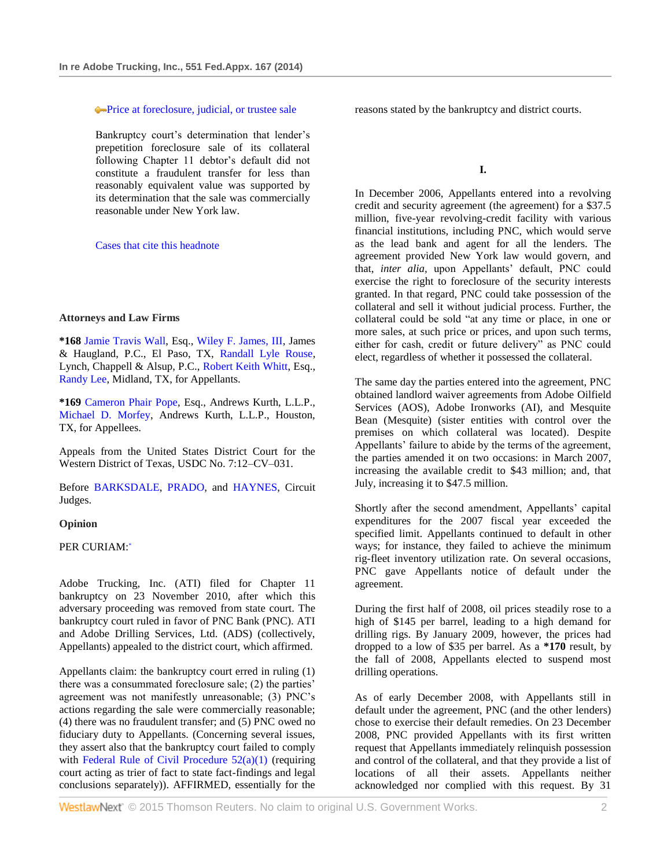### [Price at foreclosure, judicial, or trustee sale](http://www.westlaw.com/Browse/Home/KeyNumber/51k2650(4)/View.html?docGuid=Ie73929f9788a11e38914df21cb42a557&originationContext=document&vr=3.0&rs=cblt1.0&transitionType=DocumentItem&contextData=(sc.UserEnteredCitation))

Bankruptcy court's determination that lender's prepetition foreclosure sale of its collateral following Chapter 11 debtor's default did not constitute a fraudulent transfer for less than reasonably equivalent value was supported by its determination that the sale was commercially reasonable under New York law.

### [Cases that cite this headnote](http://www.westlaw.com/Link/RelatedInformation/DocHeadnoteLink?docGuid=Ie73929f9788a11e38914df21cb42a557&headnoteId=203249418400320140625200631&originationContext=document&vr=3.0&rs=cblt1.0&transitionType=CitingReferences&contextData=(sc.UserEnteredCitation))

### **Attorneys and Law Firms**

**\*168** [Jamie Travis Wall,](http://www.westlaw.com/Link/Document/FullText?findType=h&pubNum=176284&cite=0366365701&originatingDoc=Ie73929f9788a11e38914df21cb42a557&refType=RQ&originationContext=document&vr=3.0&rs=cblt1.0&transitionType=DocumentItem&contextData=(sc.UserEnteredCitation)) Esq., [Wiley F. James, III,](http://www.westlaw.com/Link/Document/FullText?findType=h&pubNum=176284&cite=0190224401&originatingDoc=Ie73929f9788a11e38914df21cb42a557&refType=RQ&originationContext=document&vr=3.0&rs=cblt1.0&transitionType=DocumentItem&contextData=(sc.UserEnteredCitation)) James & Haugland, P.C., El Paso, TX, [Randall Lyle Rouse,](http://www.westlaw.com/Link/Document/FullText?findType=h&pubNum=176284&cite=0146704001&originatingDoc=Ie73929f9788a11e38914df21cb42a557&refType=RQ&originationContext=document&vr=3.0&rs=cblt1.0&transitionType=DocumentItem&contextData=(sc.UserEnteredCitation)) Lynch, Chappell & Alsup, P.C., [Robert Keith Whitt,](http://www.westlaw.com/Link/Document/FullText?findType=h&pubNum=176284&cite=0289183101&originatingDoc=Ie73929f9788a11e38914df21cb42a557&refType=RQ&originationContext=document&vr=3.0&rs=cblt1.0&transitionType=DocumentItem&contextData=(sc.UserEnteredCitation)) Esq., [Randy Lee,](http://www.westlaw.com/Link/Document/FullText?findType=h&pubNum=176284&cite=0291064201&originatingDoc=Ie73929f9788a11e38914df21cb42a557&refType=RQ&originationContext=document&vr=3.0&rs=cblt1.0&transitionType=DocumentItem&contextData=(sc.UserEnteredCitation)) Midland, TX, for Appellants.

**\*169** [Cameron Phair Pope,](http://www.westlaw.com/Link/Document/FullText?findType=h&pubNum=176284&cite=0325428101&originatingDoc=Ie73929f9788a11e38914df21cb42a557&refType=RQ&originationContext=document&vr=3.0&rs=cblt1.0&transitionType=DocumentItem&contextData=(sc.UserEnteredCitation)) Esq., Andrews Kurth, L.L.P., [Michael D. Morfey,](http://www.westlaw.com/Link/Document/FullText?findType=h&pubNum=176284&cite=0319713401&originatingDoc=Ie73929f9788a11e38914df21cb42a557&refType=RQ&originationContext=document&vr=3.0&rs=cblt1.0&transitionType=DocumentItem&contextData=(sc.UserEnteredCitation)) Andrews Kurth, L.L.P., Houston, TX, for Appellees.

Appeals from the United States District Court for the Western District of Texas, USDC No. 7:12–CV–031.

Before [BARKSDALE,](http://www.westlaw.com/Link/Document/FullText?findType=h&pubNum=176284&cite=0194463701&originatingDoc=Ie73929f9788a11e38914df21cb42a557&refType=RQ&originationContext=document&vr=3.0&rs=cblt1.0&transitionType=DocumentItem&contextData=(sc.UserEnteredCitation)) [PRADO,](http://www.westlaw.com/Link/Document/FullText?findType=h&pubNum=176284&cite=0197176801&originatingDoc=Ie73929f9788a11e38914df21cb42a557&refType=RQ&originationContext=document&vr=3.0&rs=cblt1.0&transitionType=DocumentItem&contextData=(sc.UserEnteredCitation)) and [HAYNES,](http://www.westlaw.com/Link/Document/FullText?findType=h&pubNum=176284&cite=0316723601&originatingDoc=Ie73929f9788a11e38914df21cb42a557&refType=RQ&originationContext=document&vr=3.0&rs=cblt1.0&transitionType=DocumentItem&contextData=(sc.UserEnteredCitation)) Circuit Judges.

#### <span id="page-1-0"></span>**Opinion**

PER CURIAM[:](#page-5-0)\*

Adobe Trucking, Inc. (ATI) filed for Chapter 11 bankruptcy on 23 November 2010, after which this adversary proceeding was removed from state court. The bankruptcy court ruled in favor of PNC Bank (PNC). ATI and Adobe Drilling Services, Ltd. (ADS) (collectively, Appellants) appealed to the district court, which affirmed.

Appellants claim: the bankruptcy court erred in ruling (1) there was a consummated foreclosure sale; (2) the parties' agreement was not manifestly unreasonable; (3) PNC's actions regarding the sale were commercially reasonable; (4) there was no fraudulent transfer; and (5) PNC owed no fiduciary duty to Appellants. (Concerning several issues, they assert also that the bankruptcy court failed to comply with Federal Rule of Civil Procedure  $52(a)(1)$  (requiring court acting as trier of fact to state fact-findings and legal conclusions separately)). AFFIRMED, essentially for the

reasons stated by the bankruptcy and district courts.

**I.**

In December 2006, Appellants entered into a revolving credit and security agreement (the agreement) for a \$37.5 million, five-year revolving-credit facility with various financial institutions, including PNC, which would serve as the lead bank and agent for all the lenders. The agreement provided New York law would govern, and that, *inter alia,* upon Appellants' default, PNC could exercise the right to foreclosure of the security interests granted. In that regard, PNC could take possession of the collateral and sell it without judicial process. Further, the collateral could be sold "at any time or place, in one or more sales, at such price or prices, and upon such terms, either for cash, credit or future delivery" as PNC could elect, regardless of whether it possessed the collateral.

The same day the parties entered into the agreement, PNC obtained landlord waiver agreements from Adobe Oilfield Services (AOS), Adobe Ironworks (AI), and Mesquite Bean (Mesquite) (sister entities with control over the premises on which collateral was located). Despite Appellants' failure to abide by the terms of the agreement, the parties amended it on two occasions: in March 2007, increasing the available credit to \$43 million; and, that July, increasing it to \$47.5 million.

Shortly after the second amendment, Appellants' capital expenditures for the 2007 fiscal year exceeded the specified limit. Appellants continued to default in other ways; for instance, they failed to achieve the minimum rig-fleet inventory utilization rate. On several occasions, PNC gave Appellants notice of default under the agreement.

During the first half of 2008, oil prices steadily rose to a high of \$145 per barrel, leading to a high demand for drilling rigs. By January 2009, however, the prices had dropped to a low of \$35 per barrel. As a **\*170** result, by the fall of 2008, Appellants elected to suspend most drilling operations.

As of early December 2008, with Appellants still in default under the agreement, PNC (and the other lenders) chose to exercise their default remedies. On 23 December 2008, PNC provided Appellants with its first written request that Appellants immediately relinquish possession and control of the collateral, and that they provide a list of locations of all their assets. Appellants neither acknowledged nor complied with this request. By 31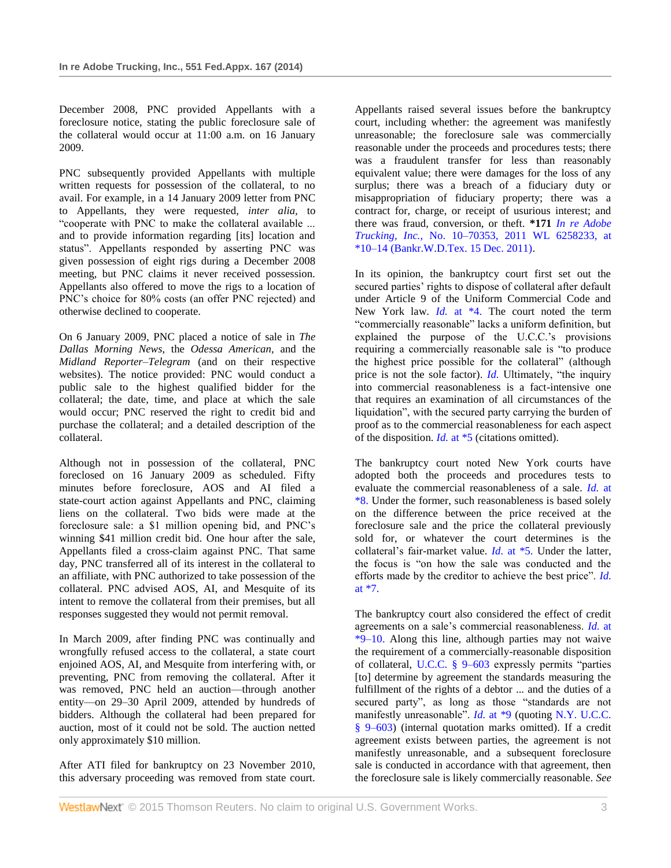December 2008, PNC provided Appellants with a foreclosure notice, stating the public foreclosure sale of the collateral would occur at 11:00 a.m. on 16 January 2009.

PNC subsequently provided Appellants with multiple written requests for possession of the collateral, to no avail. For example, in a 14 January 2009 letter from PNC to Appellants, they were requested, *inter alia,* to "cooperate with PNC to make the collateral available ... and to provide information regarding [its] location and status". Appellants responded by asserting PNC was given possession of eight rigs during a December 2008 meeting, but PNC claims it never received possession. Appellants also offered to move the rigs to a location of PNC's choice for 80% costs (an offer PNC rejected) and otherwise declined to cooperate.

On 6 January 2009, PNC placed a notice of sale in *The Dallas Morning News,* the *Odessa American,* and the *Midland Reporter–Telegram* (and on their respective websites). The notice provided: PNC would conduct a public sale to the highest qualified bidder for the collateral; the date, time, and place at which the sale would occur; PNC reserved the right to credit bid and purchase the collateral; and a detailed description of the collateral.

Although not in possession of the collateral, PNC foreclosed on 16 January 2009 as scheduled. Fifty minutes before foreclosure, AOS and AI filed a state-court action against Appellants and PNC, claiming liens on the collateral. Two bids were made at the foreclosure sale: a \$1 million opening bid, and PNC's winning \$41 million credit bid. One hour after the sale, Appellants filed a cross-claim against PNC. That same day, PNC transferred all of its interest in the collateral to an affiliate, with PNC authorized to take possession of the collateral. PNC advised AOS, AI, and Mesquite of its intent to remove the collateral from their premises, but all responses suggested they would not permit removal.

In March 2009, after finding PNC was continually and wrongfully refused access to the collateral, a state court enjoined AOS, AI, and Mesquite from interfering with, or preventing, PNC from removing the collateral. After it was removed, PNC held an auction—through another entity—on 29–30 April 2009, attended by hundreds of bidders. Although the collateral had been prepared for auction, most of it could not be sold. The auction netted only approximately \$10 million.

After ATI filed for bankruptcy on 23 November 2010, this adversary proceeding was removed from state court. Appellants raised several issues before the bankruptcy court, including whether: the agreement was manifestly unreasonable; the foreclosure sale was commercially reasonable under the proceeds and procedures tests; there was a fraudulent transfer for less than reasonably equivalent value; there were damages for the loss of any surplus; there was a breach of a fiduciary duty or misappropriation of fiduciary property; there was a contract for, charge, or receipt of usurious interest; and there was fraud, conversion, or theft. **\*171** *[In re Adobe](http://www.westlaw.com/Link/Document/FullText?findType=Y&serNum=2026688211&pubNum=0000999&originatingDoc=Ie73929f9788a11e38914df21cb42a557&refType=RP&originationContext=document&vr=3.0&rs=cblt1.0&transitionType=DocumentItem&contextData=(sc.UserEnteredCitation))  Trucking, Inc.,* [No. 10–70353, 2011 WL 6258233, at](http://www.westlaw.com/Link/Document/FullText?findType=Y&serNum=2026688211&pubNum=0000999&originatingDoc=Ie73929f9788a11e38914df21cb42a557&refType=RP&originationContext=document&vr=3.0&rs=cblt1.0&transitionType=DocumentItem&contextData=(sc.UserEnteredCitation))  [\\*10–14 \(Bankr.W.D.Tex. 15 Dec. 2011\).](http://www.westlaw.com/Link/Document/FullText?findType=Y&serNum=2026688211&pubNum=0000999&originatingDoc=Ie73929f9788a11e38914df21cb42a557&refType=RP&originationContext=document&vr=3.0&rs=cblt1.0&transitionType=DocumentItem&contextData=(sc.UserEnteredCitation))

In its opinion, the bankruptcy court first set out the secured parties' rights to dispose of collateral after default under Article 9 of the Uniform Commercial Code and New York law. *Id.* [at \\*4.](http://www.westlaw.com/Link/Document/FullText?findType=Y&serNum=2026688211&originatingDoc=Ie73929f9788a11e38914df21cb42a557&refType=RP&originationContext=document&vr=3.0&rs=cblt1.0&transitionType=DocumentItem&contextData=(sc.UserEnteredCitation)) The court noted the term "commercially reasonable" lacks a uniform definition, but explained the purpose of the U.C.C.'s provisions requiring a commercially reasonable sale is "to produce the highest price possible for the collateral" (although price is not the sole factor). *[Id.](http://www.westlaw.com/Link/Document/FullText?findType=Y&serNum=2026688211&originatingDoc=Ie73929f9788a11e38914df21cb42a557&refType=RP&originationContext=document&vr=3.0&rs=cblt1.0&transitionType=DocumentItem&contextData=(sc.UserEnteredCitation))* Ultimately, "the inquiry into commercial reasonableness is a fact-intensive one that requires an examination of all circumstances of the liquidation", with the secured party carrying the burden of proof as to the commercial reasonableness for each aspect of the disposition. *Id.* [at \\*5](http://www.westlaw.com/Link/Document/FullText?findType=Y&serNum=2026688211&originatingDoc=Ie73929f9788a11e38914df21cb42a557&refType=RP&originationContext=document&vr=3.0&rs=cblt1.0&transitionType=DocumentItem&contextData=(sc.UserEnteredCitation)) (citations omitted).

The bankruptcy court noted New York courts have adopted both the proceeds and procedures tests to evaluate the commercial reasonableness of a sale. *[Id.](http://www.westlaw.com/Link/Document/FullText?findType=Y&serNum=2026688211&originatingDoc=Ie73929f9788a11e38914df21cb42a557&refType=RP&originationContext=document&vr=3.0&rs=cblt1.0&transitionType=DocumentItem&contextData=(sc.UserEnteredCitation))* at [\\*8.](http://www.westlaw.com/Link/Document/FullText?findType=Y&serNum=2026688211&originatingDoc=Ie73929f9788a11e38914df21cb42a557&refType=RP&originationContext=document&vr=3.0&rs=cblt1.0&transitionType=DocumentItem&contextData=(sc.UserEnteredCitation)) Under the former, such reasonableness is based solely on the difference between the price received at the foreclosure sale and the price the collateral previously sold for, or whatever the court determines is the collateral's fair-market value. *Id.* [at \\*5.](http://www.westlaw.com/Link/Document/FullText?findType=Y&serNum=2026688211&originatingDoc=Ie73929f9788a11e38914df21cb42a557&refType=RP&originationContext=document&vr=3.0&rs=cblt1.0&transitionType=DocumentItem&contextData=(sc.UserEnteredCitation)) Under the latter, the focus is "on how the sale was conducted and the efforts made by the creditor to achieve the best price". *[Id.](http://www.westlaw.com/Link/Document/FullText?findType=Y&serNum=2026688211&originatingDoc=Ie73929f9788a11e38914df21cb42a557&refType=RP&originationContext=document&vr=3.0&rs=cblt1.0&transitionType=DocumentItem&contextData=(sc.UserEnteredCitation))* [at \\*7.](http://www.westlaw.com/Link/Document/FullText?findType=Y&serNum=2026688211&originatingDoc=Ie73929f9788a11e38914df21cb42a557&refType=RP&originationContext=document&vr=3.0&rs=cblt1.0&transitionType=DocumentItem&contextData=(sc.UserEnteredCitation))

The bankruptcy court also considered the effect of credit agreements on a sale's commercial reasonableness. *[Id.](http://www.westlaw.com/Link/Document/FullText?findType=Y&serNum=2026688211&originatingDoc=Ie73929f9788a11e38914df21cb42a557&refType=RP&originationContext=document&vr=3.0&rs=cblt1.0&transitionType=DocumentItem&contextData=(sc.UserEnteredCitation))* at [\\*9–10.](http://www.westlaw.com/Link/Document/FullText?findType=Y&serNum=2026688211&originatingDoc=Ie73929f9788a11e38914df21cb42a557&refType=RP&originationContext=document&vr=3.0&rs=cblt1.0&transitionType=DocumentItem&contextData=(sc.UserEnteredCitation)) Along this line, although parties may not waive the requirement of a commercially-reasonable disposition of collateral, [U.C.C. § 9–603](http://www.westlaw.com/Link/Document/FullText?findType=L&pubNum=1002112&cite=ULUCCS9-603&originatingDoc=Ie73929f9788a11e38914df21cb42a557&refType=LQ&originationContext=document&vr=3.0&rs=cblt1.0&transitionType=DocumentItem&contextData=(sc.UserEnteredCitation)) expressly permits "parties [to] determine by agreement the standards measuring the fulfillment of the rights of a debtor ... and the duties of a secured party", as long as those "standards are not manifestly unreasonable". *Id.* [at \\*9](http://www.westlaw.com/Link/Document/FullText?findType=Y&serNum=2026688211&originatingDoc=Ie73929f9788a11e38914df21cb42a557&refType=RP&originationContext=document&vr=3.0&rs=cblt1.0&transitionType=DocumentItem&contextData=(sc.UserEnteredCitation)) (quoting N.Y. U.C.C. [§ 9–603\)](http://www.westlaw.com/Link/Document/FullText?findType=L&pubNum=1000154&cite=NYUCS9-603&originatingDoc=Ie73929f9788a11e38914df21cb42a557&refType=LQ&originationContext=document&vr=3.0&rs=cblt1.0&transitionType=DocumentItem&contextData=(sc.UserEnteredCitation)) (internal quotation marks omitted). If a credit agreement exists between parties, the agreement is not manifestly unreasonable, and a subsequent foreclosure sale is conducted in accordance with that agreement, then the foreclosure sale is likely commercially reasonable. *See*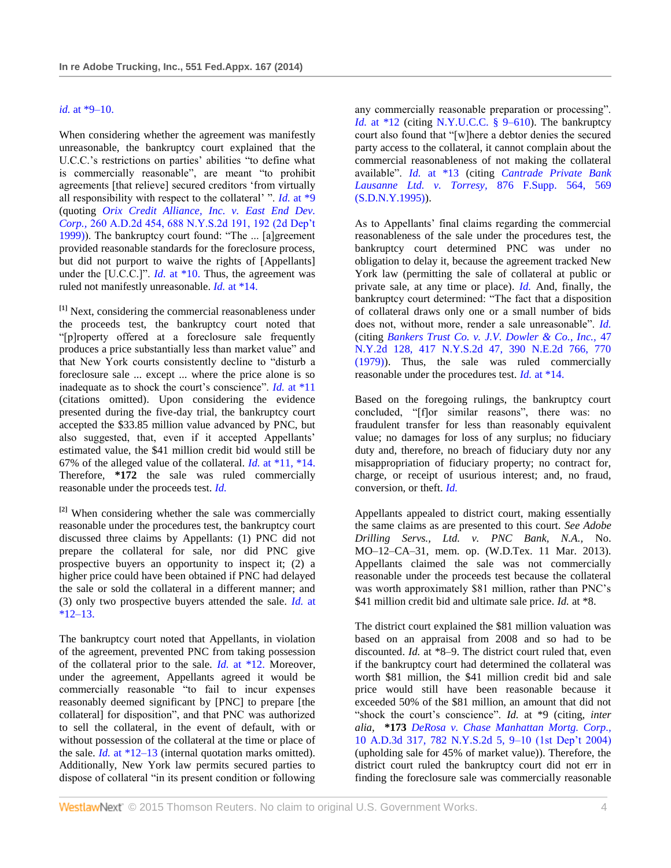### *id.* [at \\*9–10.](http://www.westlaw.com/Link/Document/FullText?findType=Y&serNum=2026688211&originatingDoc=Ie73929f9788a11e38914df21cb42a557&refType=RP&originationContext=document&vr=3.0&rs=cblt1.0&transitionType=DocumentItem&contextData=(sc.UserEnteredCitation))

When considering whether the agreement was manifestly unreasonable, the bankruptcy court explained that the U.C.C.'s restrictions on parties' abilities "to define what is commercially reasonable", are meant "to prohibit agreements [that relieve] secured creditors 'from virtually all responsibility with respect to the collateral' ". *Id.* [at \\*9](http://www.westlaw.com/Link/Document/FullText?findType=Y&serNum=2026688211&originatingDoc=Ie73929f9788a11e38914df21cb42a557&refType=RP&originationContext=document&vr=3.0&rs=cblt1.0&transitionType=DocumentItem&contextData=(sc.UserEnteredCitation)) (quoting *[Orix Credit Alliance, Inc. v. East End Dev.](http://www.westlaw.com/Link/Document/FullText?findType=Y&serNum=1999102860&pubNum=602&originatingDoc=Ie73929f9788a11e38914df21cb42a557&refType=RP&fi=co_pp_sp_602_192&originationContext=document&vr=3.0&rs=cblt1.0&transitionType=DocumentItem&contextData=(sc.UserEnteredCitation)#co_pp_sp_602_192)  Corp.,* [260 A.D.2d 454, 688 N.Y.S.2d 191, 192 \(2d Dep't](http://www.westlaw.com/Link/Document/FullText?findType=Y&serNum=1999102860&pubNum=602&originatingDoc=Ie73929f9788a11e38914df21cb42a557&refType=RP&fi=co_pp_sp_602_192&originationContext=document&vr=3.0&rs=cblt1.0&transitionType=DocumentItem&contextData=(sc.UserEnteredCitation)#co_pp_sp_602_192)  [1999\)\)](http://www.westlaw.com/Link/Document/FullText?findType=Y&serNum=1999102860&pubNum=602&originatingDoc=Ie73929f9788a11e38914df21cb42a557&refType=RP&fi=co_pp_sp_602_192&originationContext=document&vr=3.0&rs=cblt1.0&transitionType=DocumentItem&contextData=(sc.UserEnteredCitation)#co_pp_sp_602_192). The bankruptcy court found: "The ... [a]greement provided reasonable standards for the foreclosure process, but did not purport to waive the rights of [Appellants] under the [U.C.C.]". *Id.* [at \\*10.](http://www.westlaw.com/Link/Document/FullText?findType=Y&serNum=2026688211&originatingDoc=Ie73929f9788a11e38914df21cb42a557&refType=RP&originationContext=document&vr=3.0&rs=cblt1.0&transitionType=DocumentItem&contextData=(sc.UserEnteredCitation)) Thus, the agreement was ruled not manifestly unreasonable. *Id.* [at \\*14.](http://www.westlaw.com/Link/Document/FullText?findType=Y&serNum=2026688211&originatingDoc=Ie73929f9788a11e38914df21cb42a557&refType=RP&originationContext=document&vr=3.0&rs=cblt1.0&transitionType=DocumentItem&contextData=(sc.UserEnteredCitation))

<span id="page-3-0"></span>**[\[1\]](#page-0-0)** Next, considering the commercial reasonableness under the proceeds test, the bankruptcy court noted that "[p]roperty offered at a foreclosure sale frequently produces a price substantially less than market value" and that New York courts consistently decline to "disturb a foreclosure sale ... except ... where the price alone is so inadequate as to shock the court's conscience". *Id.* [at \\*11](http://www.westlaw.com/Link/Document/FullText?findType=Y&serNum=2026688211&originatingDoc=Ie73929f9788a11e38914df21cb42a557&refType=RP&originationContext=document&vr=3.0&rs=cblt1.0&transitionType=DocumentItem&contextData=(sc.UserEnteredCitation)) (citations omitted). Upon considering the evidence presented during the five-day trial, the bankruptcy court accepted the \$33.85 million value advanced by PNC, but also suggested, that, even if it accepted Appellants' estimated value, the \$41 million credit bid would still be 67% of the alleged value of the collateral. *Id.* [at \\*11, \\*14.](http://www.westlaw.com/Link/Document/FullText?findType=Y&serNum=2026688211&originatingDoc=Ie73929f9788a11e38914df21cb42a557&refType=RP&originationContext=document&vr=3.0&rs=cblt1.0&transitionType=DocumentItem&contextData=(sc.UserEnteredCitation)) Therefore, **\*172** the sale was ruled commercially reasonable under the proceeds test. *[Id.](http://www.westlaw.com/Link/Document/FullText?findType=Y&serNum=2026688211&originatingDoc=Ie73929f9788a11e38914df21cb42a557&refType=RP&originationContext=document&vr=3.0&rs=cblt1.0&transitionType=DocumentItem&contextData=(sc.UserEnteredCitation))*

<span id="page-3-1"></span>**[\[2\]](#page-0-1)** When considering whether the sale was commercially reasonable under the procedures test, the bankruptcy court discussed three claims by Appellants: (1) PNC did not prepare the collateral for sale, nor did PNC give prospective buyers an opportunity to inspect it; (2) a higher price could have been obtained if PNC had delayed the sale or sold the collateral in a different manner; and (3) only two prospective buyers attended the sale. *[Id.](http://www.westlaw.com/Link/Document/FullText?findType=Y&serNum=2026688211&originatingDoc=Ie73929f9788a11e38914df21cb42a557&refType=RP&originationContext=document&vr=3.0&rs=cblt1.0&transitionType=DocumentItem&contextData=(sc.UserEnteredCitation))* at  $*12-13.$ 

The bankruptcy court noted that Appellants, in violation of the agreement, prevented PNC from taking possession of the collateral prior to the sale. *Id.* [at \\*12.](http://www.westlaw.com/Link/Document/FullText?findType=Y&serNum=2026688211&originatingDoc=Ie73929f9788a11e38914df21cb42a557&refType=RP&originationContext=document&vr=3.0&rs=cblt1.0&transitionType=DocumentItem&contextData=(sc.UserEnteredCitation)) Moreover, under the agreement, Appellants agreed it would be commercially reasonable "to fail to incur expenses reasonably deemed significant by [PNC] to prepare [the collateral] for disposition", and that PNC was authorized to sell the collateral, in the event of default, with or without possession of the collateral at the time or place of the sale. *Id.* [at \\*12–13](http://www.westlaw.com/Link/Document/FullText?findType=Y&serNum=2026688211&originatingDoc=Ie73929f9788a11e38914df21cb42a557&refType=RP&originationContext=document&vr=3.0&rs=cblt1.0&transitionType=DocumentItem&contextData=(sc.UserEnteredCitation)) (internal quotation marks omitted). Additionally, New York law permits secured parties to dispose of collateral "in its present condition or following

any commercially reasonable preparation or processing". *Id.* [at \\*12](http://www.westlaw.com/Link/Document/FullText?findType=Y&serNum=2026688211&originatingDoc=Ie73929f9788a11e38914df21cb42a557&refType=RP&originationContext=document&vr=3.0&rs=cblt1.0&transitionType=DocumentItem&contextData=(sc.UserEnteredCitation)) (citing [N.Y.U.C.C. § 9–610\)](http://www.westlaw.com/Link/Document/FullText?findType=L&pubNum=1000154&cite=NYUCS9-610&originatingDoc=Ie73929f9788a11e38914df21cb42a557&refType=LQ&originationContext=document&vr=3.0&rs=cblt1.0&transitionType=DocumentItem&contextData=(sc.UserEnteredCitation)). The bankruptcy court also found that "[w]here a debtor denies the secured party access to the collateral, it cannot complain about the commercial reasonableness of not making the collateral available". *Id.* [at \\*13](http://www.westlaw.com/Link/Document/FullText?findType=Y&serNum=2026688211&originatingDoc=Ie73929f9788a11e38914df21cb42a557&refType=RP&originationContext=document&vr=3.0&rs=cblt1.0&transitionType=DocumentItem&contextData=(sc.UserEnteredCitation)) (citing *[Cantrade Private Bank](http://www.westlaw.com/Link/Document/FullText?findType=Y&serNum=1995058459&pubNum=345&originatingDoc=Ie73929f9788a11e38914df21cb42a557&refType=RP&fi=co_pp_sp_345_569&originationContext=document&vr=3.0&rs=cblt1.0&transitionType=DocumentItem&contextData=(sc.UserEnteredCitation)#co_pp_sp_345_569)  [Lausanne Ltd. v. Torresy,](http://www.westlaw.com/Link/Document/FullText?findType=Y&serNum=1995058459&pubNum=345&originatingDoc=Ie73929f9788a11e38914df21cb42a557&refType=RP&fi=co_pp_sp_345_569&originationContext=document&vr=3.0&rs=cblt1.0&transitionType=DocumentItem&contextData=(sc.UserEnteredCitation)#co_pp_sp_345_569)* 876 F.Supp. 564, 569  $(S.D.N.Y.1995)$ ).

As to Appellants' final claims regarding the commercial reasonableness of the sale under the procedures test, the bankruptcy court determined PNC was under no obligation to delay it, because the agreement tracked New York law (permitting the sale of collateral at public or private sale, at any time or place). *[Id.](http://www.westlaw.com/Link/Document/FullText?findType=Y&serNum=2026688211&originatingDoc=Ie73929f9788a11e38914df21cb42a557&refType=RP&originationContext=document&vr=3.0&rs=cblt1.0&transitionType=DocumentItem&contextData=(sc.UserEnteredCitation))* And, finally, the bankruptcy court determined: "The fact that a disposition of collateral draws only one or a small number of bids does not, without more, render a sale unreasonable". *[Id.](http://www.westlaw.com/Link/Document/FullText?findType=Y&serNum=2026688211&originatingDoc=Ie73929f9788a11e38914df21cb42a557&refType=RP&originationContext=document&vr=3.0&rs=cblt1.0&transitionType=DocumentItem&contextData=(sc.UserEnteredCitation))* (citing *[Bankers Trust Co. v. J.V. Dowler & Co., Inc.,](http://www.westlaw.com/Link/Document/FullText?findType=Y&serNum=1979118596&pubNum=578&originatingDoc=Ie73929f9788a11e38914df21cb42a557&refType=RP&fi=co_pp_sp_578_770&originationContext=document&vr=3.0&rs=cblt1.0&transitionType=DocumentItem&contextData=(sc.UserEnteredCitation)#co_pp_sp_578_770)* 47 [N.Y.2d 128, 417 N.Y.S.2d 47, 390 N.E.2d 766, 770](http://www.westlaw.com/Link/Document/FullText?findType=Y&serNum=1979118596&pubNum=578&originatingDoc=Ie73929f9788a11e38914df21cb42a557&refType=RP&fi=co_pp_sp_578_770&originationContext=document&vr=3.0&rs=cblt1.0&transitionType=DocumentItem&contextData=(sc.UserEnteredCitation)#co_pp_sp_578_770)  [\(1979\)\)](http://www.westlaw.com/Link/Document/FullText?findType=Y&serNum=1979118596&pubNum=578&originatingDoc=Ie73929f9788a11e38914df21cb42a557&refType=RP&fi=co_pp_sp_578_770&originationContext=document&vr=3.0&rs=cblt1.0&transitionType=DocumentItem&contextData=(sc.UserEnteredCitation)#co_pp_sp_578_770). Thus, the sale was ruled commercially reasonable under the procedures test. *Id.* [at \\*14.](http://www.westlaw.com/Link/Document/FullText?findType=Y&serNum=2026688211&originatingDoc=Ie73929f9788a11e38914df21cb42a557&refType=RP&originationContext=document&vr=3.0&rs=cblt1.0&transitionType=DocumentItem&contextData=(sc.UserEnteredCitation))

Based on the foregoing rulings, the bankruptcy court concluded, "[f]or similar reasons", there was: no fraudulent transfer for less than reasonably equivalent value; no damages for loss of any surplus; no fiduciary duty and, therefore, no breach of fiduciary duty nor any misappropriation of fiduciary property; no contract for, charge, or receipt of usurious interest; and, no fraud, conversion, or theft. *[Id.](http://www.westlaw.com/Link/Document/FullText?findType=Y&serNum=2026688211&originatingDoc=Ie73929f9788a11e38914df21cb42a557&refType=RP&originationContext=document&vr=3.0&rs=cblt1.0&transitionType=DocumentItem&contextData=(sc.UserEnteredCitation))*

Appellants appealed to district court, making essentially the same claims as are presented to this court. *See Adobe Drilling Servs., Ltd. v. PNC Bank, N.A.,* No. MO–12–CA–31, mem. op. (W.D.Tex. 11 Mar. 2013). Appellants claimed the sale was not commercially reasonable under the proceeds test because the collateral was worth approximately \$81 million, rather than PNC's \$41 million credit bid and ultimate sale price. *Id.* at \*8.

The district court explained the \$81 million valuation was based on an appraisal from 2008 and so had to be discounted. *Id.* at \*8–9. The district court ruled that, even if the bankruptcy court had determined the collateral was worth \$81 million, the \$41 million credit bid and sale price would still have been reasonable because it exceeded 50% of the \$81 million, an amount that did not "shock the court's conscience". *Id.* at \*9 (citing, *inter alia,* **\*173** *[DeRosa v. Chase Manhattan Mortg. Corp.,](http://www.westlaw.com/Link/Document/FullText?findType=Y&serNum=2004946265&pubNum=602&originatingDoc=Ie73929f9788a11e38914df21cb42a557&refType=RP&fi=co_pp_sp_602_9&originationContext=document&vr=3.0&rs=cblt1.0&transitionType=DocumentItem&contextData=(sc.UserEnteredCitation)#co_pp_sp_602_9)* [10 A.D.3d 317, 782 N.Y.S.2d 5, 9–10 \(1st Dep't 2004\)](http://www.westlaw.com/Link/Document/FullText?findType=Y&serNum=2004946265&pubNum=602&originatingDoc=Ie73929f9788a11e38914df21cb42a557&refType=RP&fi=co_pp_sp_602_9&originationContext=document&vr=3.0&rs=cblt1.0&transitionType=DocumentItem&contextData=(sc.UserEnteredCitation)#co_pp_sp_602_9) (upholding sale for 45% of market value)). Therefore, the district court ruled the bankruptcy court did not err in finding the foreclosure sale was commercially reasonable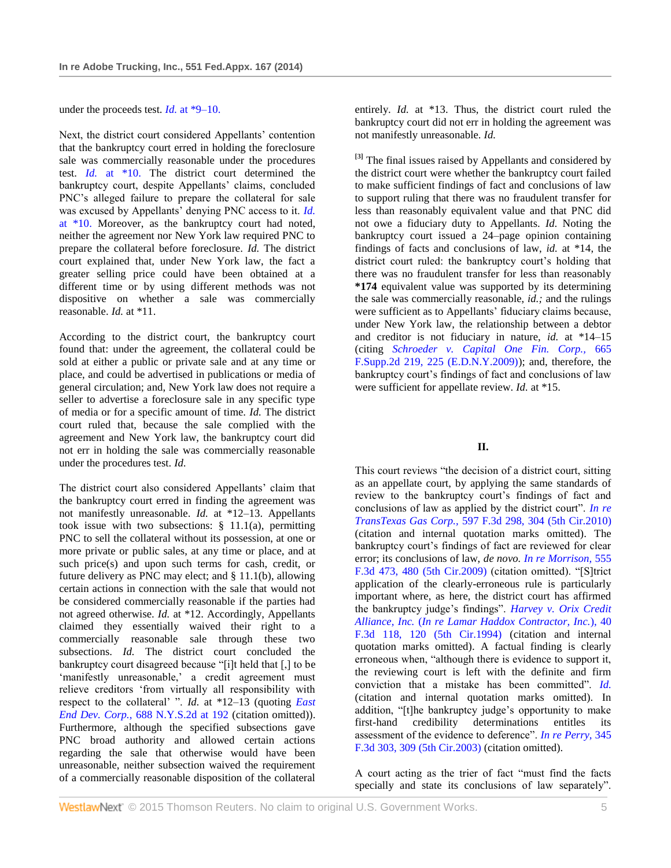under the proceeds test. *Id.* [at \\*9–10.](http://www.westlaw.com/Link/Document/FullText?findType=Y&serNum=2004946265&originatingDoc=Ie73929f9788a11e38914df21cb42a557&refType=RP&originationContext=document&vr=3.0&rs=cblt1.0&transitionType=DocumentItem&contextData=(sc.UserEnteredCitation))

Next, the district court considered Appellants' contention that the bankruptcy court erred in holding the foreclosure sale was commercially reasonable under the procedures test. *Id.* [at \\*10.](http://www.westlaw.com/Link/Document/FullText?findType=Y&serNum=2004946265&originatingDoc=Ie73929f9788a11e38914df21cb42a557&refType=RP&originationContext=document&vr=3.0&rs=cblt1.0&transitionType=DocumentItem&contextData=(sc.UserEnteredCitation)) The district court determined the bankruptcy court, despite Appellants' claims, concluded PNC's alleged failure to prepare the collateral for sale was excused by Appellants' denying PNC access to it. *[Id.](http://www.westlaw.com/Link/Document/FullText?findType=Y&serNum=2004946265&originatingDoc=Ie73929f9788a11e38914df21cb42a557&refType=RP&originationContext=document&vr=3.0&rs=cblt1.0&transitionType=DocumentItem&contextData=(sc.UserEnteredCitation))* [at \\*10.](http://www.westlaw.com/Link/Document/FullText?findType=Y&serNum=2004946265&originatingDoc=Ie73929f9788a11e38914df21cb42a557&refType=RP&originationContext=document&vr=3.0&rs=cblt1.0&transitionType=DocumentItem&contextData=(sc.UserEnteredCitation)) Moreover, as the bankruptcy court had noted, neither the agreement nor New York law required PNC to prepare the collateral before foreclosure. *Id.* The district court explained that, under New York law, the fact a greater selling price could have been obtained at a different time or by using different methods was not dispositive on whether a sale was commercially reasonable. *Id.* at \*11.

According to the district court, the bankruptcy court found that: under the agreement, the collateral could be sold at either a public or private sale and at any time or place, and could be advertised in publications or media of general circulation; and, New York law does not require a seller to advertise a foreclosure sale in any specific type of media or for a specific amount of time. *Id.* The district court ruled that, because the sale complied with the agreement and New York law, the bankruptcy court did not err in holding the sale was commercially reasonable under the procedures test. *Id.*

The district court also considered Appellants' claim that the bankruptcy court erred in finding the agreement was not manifestly unreasonable. *Id.* at \*12–13. Appellants took issue with two subsections:  $\S$  11.1(a), permitting PNC to sell the collateral without its possession, at one or more private or public sales, at any time or place, and at such price(s) and upon such terms for cash, credit, or future delivery as PNC may elect; and § 11.1(b), allowing certain actions in connection with the sale that would not be considered commercially reasonable if the parties had not agreed otherwise. *Id.* at \*12. Accordingly, Appellants claimed they essentially waived their right to a commercially reasonable sale through these two subsections. *Id.* The district court concluded the bankruptcy court disagreed because "[i]t held that [,] to be 'manifestly unreasonable,' a credit agreement must relieve creditors 'from virtually all responsibility with respect to the collateral' ". *Id.* at \*12–13 (quoting *[East](http://www.westlaw.com/Link/Document/FullText?findType=Y&serNum=1999102860&pubNum=602&originatingDoc=Ie73929f9788a11e38914df21cb42a557&refType=RP&fi=co_pp_sp_602_192&originationContext=document&vr=3.0&rs=cblt1.0&transitionType=DocumentItem&contextData=(sc.UserEnteredCitation)#co_pp_sp_602_192)  [End Dev. Corp.,](http://www.westlaw.com/Link/Document/FullText?findType=Y&serNum=1999102860&pubNum=602&originatingDoc=Ie73929f9788a11e38914df21cb42a557&refType=RP&fi=co_pp_sp_602_192&originationContext=document&vr=3.0&rs=cblt1.0&transitionType=DocumentItem&contextData=(sc.UserEnteredCitation)#co_pp_sp_602_192)* 688 N.Y.S.2d at 192 (citation omitted)). Furthermore, although the specified subsections gave PNC broad authority and allowed certain actions regarding the sale that otherwise would have been unreasonable, neither subsection waived the requirement of a commercially reasonable disposition of the collateral

entirely. *Id.* at \*13. Thus, the district court ruled the bankruptcy court did not err in holding the agreement was not manifestly unreasonable. *Id.*

<span id="page-4-0"></span>**[\[3\]](#page-0-2)** The final issues raised by Appellants and considered by the district court were whether the bankruptcy court failed to make sufficient findings of fact and conclusions of law to support ruling that there was no fraudulent transfer for less than reasonably equivalent value and that PNC did not owe a fiduciary duty to Appellants. *Id.* Noting the bankruptcy court issued a 24–page opinion containing findings of facts and conclusions of law, *id.* at \*14, the district court ruled: the bankruptcy court's holding that there was no fraudulent transfer for less than reasonably **\*174** equivalent value was supported by its determining the sale was commercially reasonable, *id.;* and the rulings were sufficient as to Appellants' fiduciary claims because, under New York law, the relationship between a debtor and creditor is not fiduciary in nature, *id.* at \*14–15 (citing *[Schroeder v. Capital One Fin. Corp.,](http://www.westlaw.com/Link/Document/FullText?findType=Y&serNum=2020205981&pubNum=4637&originatingDoc=Ie73929f9788a11e38914df21cb42a557&refType=RP&fi=co_pp_sp_4637_225&originationContext=document&vr=3.0&rs=cblt1.0&transitionType=DocumentItem&contextData=(sc.UserEnteredCitation)#co_pp_sp_4637_225)* 665 [F.Supp.2d 219, 225 \(E.D.N.Y.2009\)\)](http://www.westlaw.com/Link/Document/FullText?findType=Y&serNum=2020205981&pubNum=4637&originatingDoc=Ie73929f9788a11e38914df21cb42a557&refType=RP&fi=co_pp_sp_4637_225&originationContext=document&vr=3.0&rs=cblt1.0&transitionType=DocumentItem&contextData=(sc.UserEnteredCitation)#co_pp_sp_4637_225); and, therefore, the bankruptcy court's findings of fact and conclusions of law were sufficient for appellate review. *Id.* at \*15.

## **II.**

This court reviews "the decision of a district court, sitting as an appellate court, by applying the same standards of review to the bankruptcy court's findings of fact and conclusions of law as applied by the district court". *[In re](http://www.westlaw.com/Link/Document/FullText?findType=Y&serNum=2021324938&pubNum=506&originatingDoc=Ie73929f9788a11e38914df21cb42a557&refType=RP&fi=co_pp_sp_506_304&originationContext=document&vr=3.0&rs=cblt1.0&transitionType=DocumentItem&contextData=(sc.UserEnteredCitation)#co_pp_sp_506_304)  TransTexas Gas Corp.,* [597 F.3d 298, 304 \(5th Cir.2010\)](http://www.westlaw.com/Link/Document/FullText?findType=Y&serNum=2021324938&pubNum=506&originatingDoc=Ie73929f9788a11e38914df21cb42a557&refType=RP&fi=co_pp_sp_506_304&originationContext=document&vr=3.0&rs=cblt1.0&transitionType=DocumentItem&contextData=(sc.UserEnteredCitation)#co_pp_sp_506_304) (citation and internal quotation marks omitted). The bankruptcy court's findings of fact are reviewed for clear error; its conclusions of law, *de novo. [In re Morrison,](http://www.westlaw.com/Link/Document/FullText?findType=Y&serNum=2017895155&pubNum=506&originatingDoc=Ie73929f9788a11e38914df21cb42a557&refType=RP&fi=co_pp_sp_506_480&originationContext=document&vr=3.0&rs=cblt1.0&transitionType=DocumentItem&contextData=(sc.UserEnteredCitation)#co_pp_sp_506_480)* 555 [F.3d 473, 480 \(5th Cir.2009\)](http://www.westlaw.com/Link/Document/FullText?findType=Y&serNum=2017895155&pubNum=506&originatingDoc=Ie73929f9788a11e38914df21cb42a557&refType=RP&fi=co_pp_sp_506_480&originationContext=document&vr=3.0&rs=cblt1.0&transitionType=DocumentItem&contextData=(sc.UserEnteredCitation)#co_pp_sp_506_480) (citation omitted). "[S]trict application of the clearly-erroneous rule is particularly important where, as here, the district court has affirmed the bankruptcy judge's findings". *[Harvey v. Orix Credit](http://www.westlaw.com/Link/Document/FullText?findType=Y&serNum=1994239635&pubNum=506&originatingDoc=Ie73929f9788a11e38914df21cb42a557&refType=RP&fi=co_pp_sp_506_120&originationContext=document&vr=3.0&rs=cblt1.0&transitionType=DocumentItem&contextData=(sc.UserEnteredCitation)#co_pp_sp_506_120)  Alliance, Inc.* (*[In re Lamar Haddox Contractor, Inc.](http://www.westlaw.com/Link/Document/FullText?findType=Y&serNum=1994239635&pubNum=506&originatingDoc=Ie73929f9788a11e38914df21cb42a557&refType=RP&fi=co_pp_sp_506_120&originationContext=document&vr=3.0&rs=cblt1.0&transitionType=DocumentItem&contextData=(sc.UserEnteredCitation)#co_pp_sp_506_120)*), 40 [F.3d 118, 120 \(5th Cir.1994\)](http://www.westlaw.com/Link/Document/FullText?findType=Y&serNum=1994239635&pubNum=506&originatingDoc=Ie73929f9788a11e38914df21cb42a557&refType=RP&fi=co_pp_sp_506_120&originationContext=document&vr=3.0&rs=cblt1.0&transitionType=DocumentItem&contextData=(sc.UserEnteredCitation)#co_pp_sp_506_120) (citation and internal quotation marks omitted). A factual finding is clearly erroneous when, "although there is evidence to support it, the reviewing court is left with the definite and firm conviction that a mistake has been committed". *[Id.](http://www.westlaw.com/Link/Document/FullText?findType=Y&serNum=1994239635&originatingDoc=Ie73929f9788a11e38914df21cb42a557&refType=RP&originationContext=document&vr=3.0&rs=cblt1.0&transitionType=DocumentItem&contextData=(sc.UserEnteredCitation))* (citation and internal quotation marks omitted). In addition, "[t]he bankruptcy judge's opportunity to make first-hand credibility determinations entitles its assessment of the evidence to deference". *[In re Perry,](http://www.westlaw.com/Link/Document/FullText?findType=Y&serNum=2003607953&pubNum=506&originatingDoc=Ie73929f9788a11e38914df21cb42a557&refType=RP&fi=co_pp_sp_506_309&originationContext=document&vr=3.0&rs=cblt1.0&transitionType=DocumentItem&contextData=(sc.UserEnteredCitation)#co_pp_sp_506_309)* 345 [F.3d 303, 309 \(5th Cir.2003\)](http://www.westlaw.com/Link/Document/FullText?findType=Y&serNum=2003607953&pubNum=506&originatingDoc=Ie73929f9788a11e38914df21cb42a557&refType=RP&fi=co_pp_sp_506_309&originationContext=document&vr=3.0&rs=cblt1.0&transitionType=DocumentItem&contextData=(sc.UserEnteredCitation)#co_pp_sp_506_309) (citation omitted).

A court acting as the trier of fact "must find the facts specially and state its conclusions of law separately".